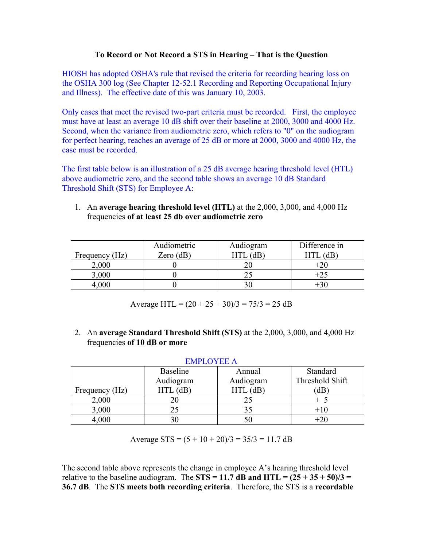## **To Record or Not Record a STS in Hearing – That is the Question**

HIOSH has adopted OSHA's rule that revised the criteria for recording hearing loss on the OSHA 300 log (See Chapter 12-52.1 Recording and Reporting Occupational Injury and Illness). The effective date of this was January 10, 2003.

Only cases that meet the revised two-part criteria must be recorded. First, the employee must have at least an average 10 dB shift over their baseline at 2000, 3000 and 4000 Hz. Second, when the variance from audiometric zero, which refers to "0" on the audiogram for perfect hearing, reaches an average of 25 dB or more at 2000, 3000 and 4000 Hz, the case must be recorded.

The first table below is an illustration of a 25 dB average hearing threshold level (HTL) above audiometric zero, and the second table shows an average 10 dB Standard Threshold Shift (STS) for Employee A:

1. An **average hearing threshold level (HTL)** at the 2,000, 3,000, and 4,000 Hz frequencies **of at least 25 db over audiometric zero**

|                | Audiometric | Audiogram | Difference in |
|----------------|-------------|-----------|---------------|
| Frequency (Hz) | Zero $(dB)$ |           | dB            |
| 2,000          |             |           | $+20$         |
| 3,000          |             |           | $+25$         |
|                |             |           |               |

Average HTL =  $(20 + 25 + 30)/3 = 75/3 = 25$  dB

2. An **average Standard Threshold Shift (STS)** at the 2,000, 3,000, and 4,000 Hz frequencies **of 10 dB or more**

| ENIFLU I EE A  |                 |            |                 |  |  |  |
|----------------|-----------------|------------|-----------------|--|--|--|
|                | <b>Baseline</b> | Annual     | Standard        |  |  |  |
|                | Audiogram       | Audiogram  | Threshold Shift |  |  |  |
| Frequency (Hz) | $HTL$ (dB)      | $HTL$ (dB) | (dB             |  |  |  |
| 2,000          |                 |            | $+$ 5           |  |  |  |
| 3,000          | 25              |            | $+10$           |  |  |  |
| 4,000          |                 |            | $+20$           |  |  |  |

# EMPLOVEE A

Average  $STS = (5 + 10 + 20)/3 = 35/3 = 11.7$  dB

The second table above represents the change in employee A's hearing threshold level relative to the baseline audiogram. The  $STS = 11.7$  dB and  $HTL = (25 + 35 + 50)/3 =$ **36.7 dB**. The **STS meets both recording criteria**. Therefore, the STS is a **recordable**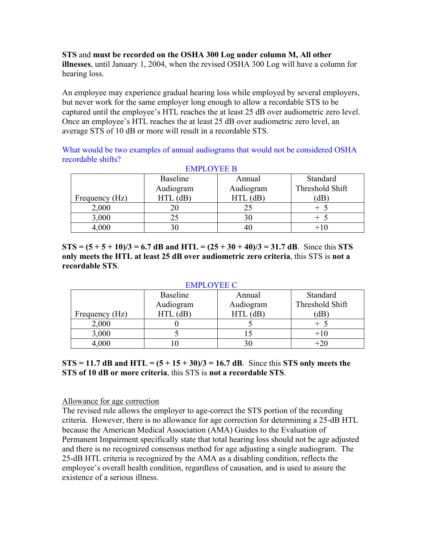**STS** and **must be recorded on the OSHA 300 Log under column M, All other illnesses**, until January 1, 2004, when the revised OSHA 300 Log will have a column for hearing loss.

An employee may experience gradual hearing loss while employed by several employers, but never work for the same employer long enough to allow a recordable STS to be captured until the employee's HTL reaches the at least 25 dB over audiometric zero level. Once an employee's HTL reaches the at least 25 dB over audiometric zero level, an average STS of 10 dB or more will result in a recordable STS.

What would be two examples of annual audiograms that would not be considered OSHA recordable shifts? EMPLOYEE B

| EINIL LU I LE D |                 |            |                 |  |  |  |
|-----------------|-----------------|------------|-----------------|--|--|--|
|                 | <b>Baseline</b> | Annual     | Standard        |  |  |  |
|                 | Audiogram       | Audiogram  | Threshold Shift |  |  |  |
| Frequency (Hz)  | $HTL$ (dB)      | $HTL$ (dB) | dB              |  |  |  |
| 2,000           |                 |            |                 |  |  |  |
| 3,000           | 25              |            |                 |  |  |  |
| 4,000           |                 |            |                 |  |  |  |

**STS** =  $(5 + 5 + 10)/3 = 6.7$  **dB** and HTL =  $(25 + 30 + 40)/3 = 31.7$  **dB**. Since this **STS only meets the HTL at least 25 dB over audiometric zero criteria**, this STS is **not a recordable STS**.

### EMPLOYEE C

|                | Baseline   | Annual     | Standard        |
|----------------|------------|------------|-----------------|
|                | Audiogram  | Audiogram  | Threshold Shift |
| Frequency (Hz) | $HTL$ (dB) | $HTL$ (dB) | dB              |
| 2,000          |            |            |                 |
| 3,000          |            |            | $+10$           |
| 4,000          |            |            | $+20$           |

**STS = 11.7 dB and HTL = (5 + 15 + 30)/3 = 16.7 dB**. Since this **STS only meets the STS of 10 dB or more criteria**, this STS is **not a recordable STS**.

Allowance for age correction

The revised rule allows the employer to age-correct the STS portion of the recording criteria. However, there is no allowance for age correction for determining a 25-dB HTL because the American Medical Association (AMA) Guides to the Evaluation of Permanent Impairment specifically state that total hearing loss should not be age adjusted and there is no recognized consensus method for age adjusting a single audiogram. The 25-dB HTL criteria is recognized by the AMA as a disabling condition, reflects the employee's overall health condition, regardless of causation, and is used to assure the existence of a serious illness.